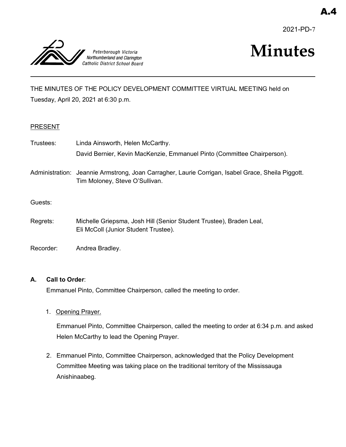2021-PD-7



# **Minutes**

THE MINUTES OF THE POLICY DEVELOPMENT COMMITTEE VIRTUAL MEETING held on Tuesday, April 20, 2021 at 6:30 p.m.

## **PRESENT**

| Trustees: | Linda Ainsworth, Helen McCarthy.                                                                                                    |
|-----------|-------------------------------------------------------------------------------------------------------------------------------------|
|           | David Bernier, Kevin MacKenzie, Emmanuel Pinto (Committee Chairperson).                                                             |
|           | Administration: Jeannie Armstrong, Joan Carragher, Laurie Corrigan, Isabel Grace, Sheila Piggott.<br>Tim Moloney, Steve O'Sullivan. |
| Guests:   |                                                                                                                                     |
| Regrets:  | Michelle Griepsma, Josh Hill (Senior Student Trustee), Braden Leal,<br>Eli McColl (Junior Student Trustee).                         |

Recorder: Andrea Bradley.

## **A. Call to Order**:

Emmanuel Pinto, Committee Chairperson, called the meeting to order.

1. Opening Prayer.

Emmanuel Pinto, Committee Chairperson, called the meeting to order at 6:34 p.m. and asked Helen McCarthy to lead the Opening Prayer.

2. Emmanuel Pinto, Committee Chairperson, acknowledged that the Policy Development Committee Meeting was taking place on the traditional territory of the Mississauga Anishinaabeg.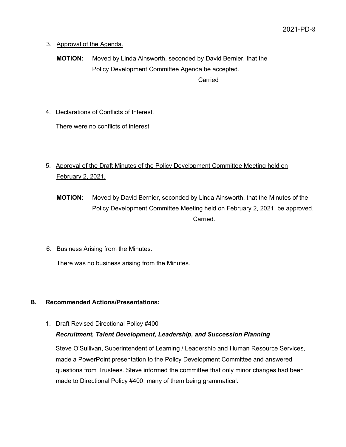- 3. Approval of the Agenda.
	- **MOTION:** Moved by Linda Ainsworth, seconded by David Bernier, that the Policy Development Committee Agenda be accepted. Carried

4. Declarations of Conflicts of Interest.

There were no conflicts of interest.

## 5. Approval of the Draft Minutes of the Policy Development Committee Meeting held on February 2, 2021.

- **MOTION:** Moved by David Bernier, seconded by Linda Ainsworth, that the Minutes of the Policy Development Committee Meeting held on February 2, 2021, be approved. Carried.
- 6. Business Arising from the Minutes.

There was no business arising from the Minutes.

## **B. Recommended Actions/Presentations:**

1. Draft Revised Directional Policy #400

## *Recruitment, Talent Development, Leadership, and Succession Planning*

Steve O'Sullivan, Superintendent of Learning / Leadership and Human Resource Services, made a PowerPoint presentation to the Policy Development Committee and answered questions from Trustees. Steve informed the committee that only minor changes had been made to Directional Policy #400, many of them being grammatical.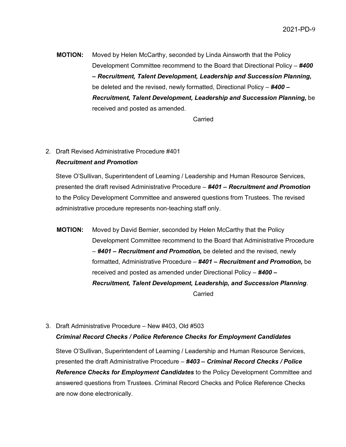**MOTION:** Moved by Helen McCarthy, seconded by Linda Ainsworth that the Policy Development Committee recommend to the Board that Directional Policy – *#400 – Recruitment, Talent Development, Leadership and Succession Planning,*  be deleted and the revised, newly formatted, Directional Policy – *#400 – Recruitment, Talent Development, Leadership and Succession Planning,* be received and posted as amended.

Carried

## 2. Draft Revised Administrative Procedure #401 *Recruitment and Promotion*

Steve O'Sullivan, Superintendent of Learning / Leadership and Human Resource Services, presented the draft revised Administrative Procedure – *#401 – Recruitment and Promotion* to the Policy Development Committee and answered questions from Trustees. The revised administrative procedure represents non-teaching staff only.

**MOTION:** Moved by David Bernier, seconded by Helen McCarthy that the Policy Development Committee recommend to the Board that Administrative Procedure – *#401 – Recruitment and Promotion,* be deleted and the revised, newly formatted, Administrative Procedure – *#401 – Recruitment and Promotion,* be received and posted as amended under Directional Policy – *#400 – Recruitment, Talent Development, Leadership, and Succession Planning*. **Carried** 

3. Draft Administrative Procedure – New #403, Old #503 *Criminal Record Checks / Police Reference Checks for Employment Candidates*

Steve O'Sullivan, Superintendent of Learning / Leadership and Human Resource Services, presented the draft Administrative Procedure – *#403 – Criminal Record Checks / Police Reference Checks for Employment Candidates* to the Policy Development Committee and answered questions from Trustees. Criminal Record Checks and Police Reference Checks are now done electronically.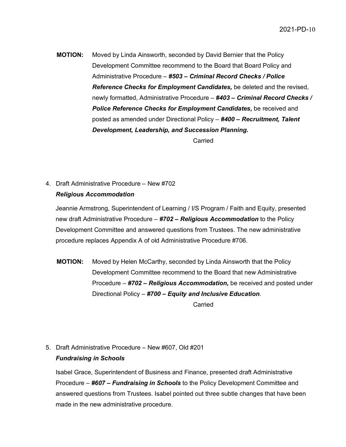**MOTION:** Moved by Linda Ainsworth, seconded by David Bernier that the Policy Development Committee recommend to the Board that Board Policy and Administrative Procedure – *#503 – Criminal Record Checks / Police Reference Checks for Employment Candidates,* be deleted and the revised, newly formatted, Administrative Procedure – *#403 – Criminal Record Checks / Police Reference Checks for Employment Candidates,* be received and posted as amended under Directional Policy – *#400 – Recruitment, Talent Development, Leadership, and Succession Planning.*

Carried

## 4. Draft Administrative Procedure – New #702 *Religious Accommodation*

Jeannie Armstrong, Superintendent of Learning / I/S Program / Faith and Equity, presented new draft Administrative Procedure – *#702 – Religious Accommodation* to the Policy Development Committee and answered questions from Trustees. The new administrative procedure replaces Appendix A of old Administrative Procedure #706.

**MOTION:** Moved by Helen McCarthy, seconded by Linda Ainsworth that the Policy Development Committee recommend to the Board that new Administrative Procedure – *#702 – Religious Accommodation,* be received and posted under Directional Policy – *#700 – Equity and Inclusive Education*.

**Carried** 

5. Draft Administrative Procedure – New #607, Old #201 *Fundraising in Schools*

Isabel Grace, Superintendent of Business and Finance, presented draft Administrative Procedure – *#607 – Fundraising in Schools* to the Policy Development Committee and answered questions from Trustees. Isabel pointed out three subtle changes that have been made in the new administrative procedure.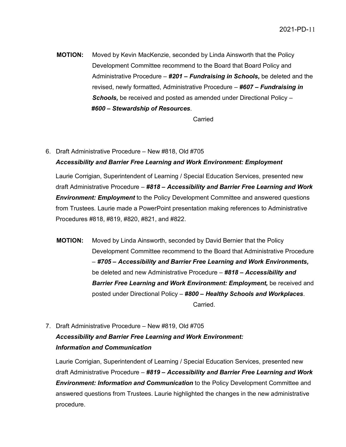**MOTION:** Moved by Kevin MacKenzie, seconded by Linda Ainsworth that the Policy Development Committee recommend to the Board that Board Policy and Administrative Procedure – *#201 – Fundraising in Schools,* be deleted and the revised, newly formatted, Administrative Procedure – *#607 – Fundraising in Schools,* be received and posted as amended under Directional Policy – *#600 – Stewardship of Resources*.

Carried

6. Draft Administrative Procedure – New #818, Old #705 *Accessibility and Barrier Free Learning and Work Environment: Employment*

Laurie Corrigian, Superintendent of Learning / Special Education Services, presented new draft Administrative Procedure – *#818 – Accessibility and Barrier Free Learning and Work Environment: Employment* to the Policy Development Committee and answered questions from Trustees. Laurie made a PowerPoint presentation making references to Administrative Procedures #818, #819, #820, #821, and #822.

- **MOTION:** Moved by Linda Ainsworth, seconded by David Bernier that the Policy Development Committee recommend to the Board that Administrative Procedure – *#705 – Accessibility and Barrier Free Learning and Work Environments,*  be deleted and new Administrative Procedure – *#818 – Accessibility and Barrier Free Learning and Work Environment: Employment,* be received and posted under Directional Policy – *#800 – Healthy Schools and Workplaces*. Carried.
- 7. Draft Administrative Procedure New #819, Old #705 *Accessibility and Barrier Free Learning and Work Environment: Information and Communication*

Laurie Corrigian, Superintendent of Learning / Special Education Services, presented new draft Administrative Procedure – *#819 – Accessibility and Barrier Free Learning and Work Environment: Information and Communication* to the Policy Development Committee and answered questions from Trustees. Laurie highlighted the changes in the new administrative procedure.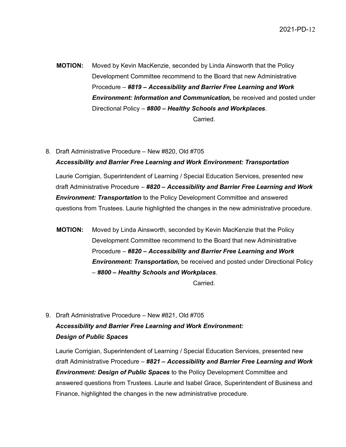**MOTION:** Moved by Kevin MacKenzie, seconded by Linda Ainsworth that the Policy Development Committee recommend to the Board that new Administrative Procedure – *#819 – Accessibility and Barrier Free Learning and Work Environment: Information and Communication,* be received and posted under Directional Policy – *#800 – Healthy Schools and Workplaces*.

Carried.

8. Draft Administrative Procedure – New #820, Old #705 *Accessibility and Barrier Free Learning and Work Environment: Transportation*

Laurie Corrigian, Superintendent of Learning / Special Education Services, presented new draft Administrative Procedure – *#820 – Accessibility and Barrier Free Learning and Work Environment: Transportation* to the Policy Development Committee and answered questions from Trustees. Laurie highlighted the changes in the new administrative procedure.

**MOTION:** Moved by Linda Ainsworth, seconded by Kevin MacKenzie that the Policy Development Committee recommend to the Board that new Administrative Procedure – *#820 – Accessibility and Barrier Free Learning and Work Environment: Transportation,* be received and posted under Directional Policy – *#800 – Healthy Schools and Workplaces*.

Carried.

9. Draft Administrative Procedure – New #821, Old #705 *Accessibility and Barrier Free Learning and Work Environment: Design of Public Spaces*

Laurie Corrigian, Superintendent of Learning / Special Education Services, presented new draft Administrative Procedure – *#821 – Accessibility and Barrier Free Learning and Work Environment: Design of Public Spaces* to the Policy Development Committee and answered questions from Trustees. Laurie and Isabel Grace, Superintendent of Business and Finance, highlighted the changes in the new administrative procedure.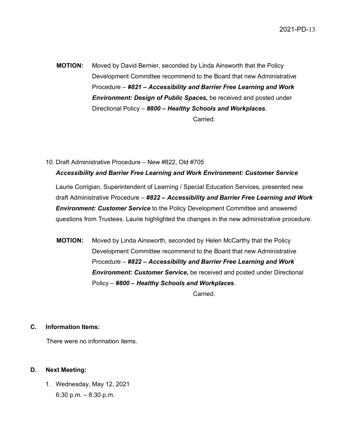2021-PD-13

- **MOTION:** Moved by David Bernier, seconded by Linda Ainsworth that the Policy Development Committee recommend to the Board that new Administrative Procedure – *#821 – Accessibility and Barrier Free Learning and Work Environment: Design of Public Spaces,* be received and posted under Directional Policy – *#800 – Healthy Schools and Workplaces*. Carried.
- 10. Draft Administrative Procedure New #822, Old #705 *Accessibility and Barrier Free Learning and Work Environment: Customer Service*

Laurie Corrigian, Superintendent of Learning / Special Education Services, presented new draft Administrative Procedure – *#822 – Accessibility and Barrier Free Learning and Work Environment: Customer Service* to the Policy Development Committee and answered questions from Trustees. Laurie highlighted the changes in the new administrative procedure.

**MOTION:** Moved by Linda Ainsworth, seconded by Helen McCarthy that the Policy Development Committee recommend to the Board that new Administrative Procedure – *#822 – Accessibility and Barrier Free Learning and Work Environment: Customer Service,* be received and posted under Directional Policy – *#800 – Healthy Schools and Workplaces*.

Carried.

#### **C. Information Items:**

There were no information items.

#### **D. Next Meeting:**

1. Wednesday, May 12, 2021 6:30 p.m. – 8:30 p.m.